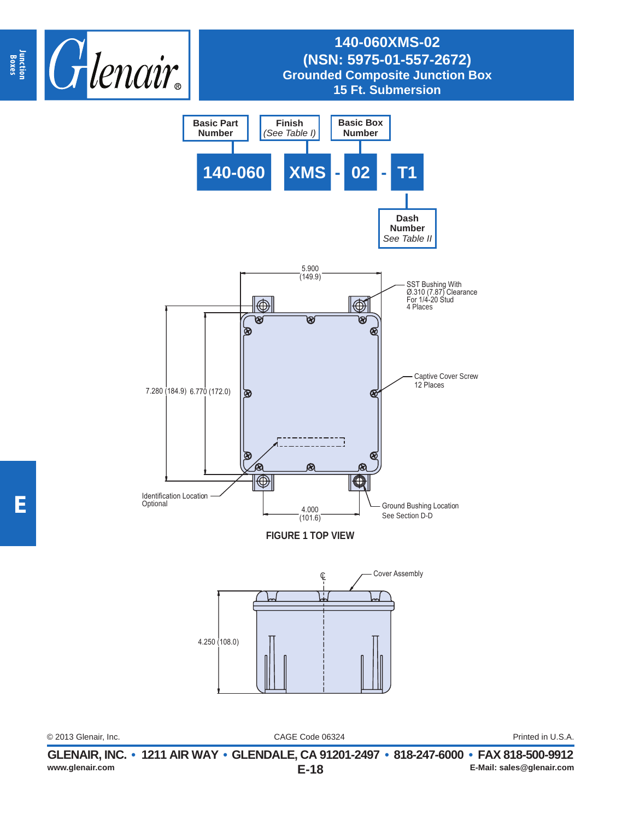



CAGE Code 06324 © 2013 Glenair, Inc. Printed in U.S.A.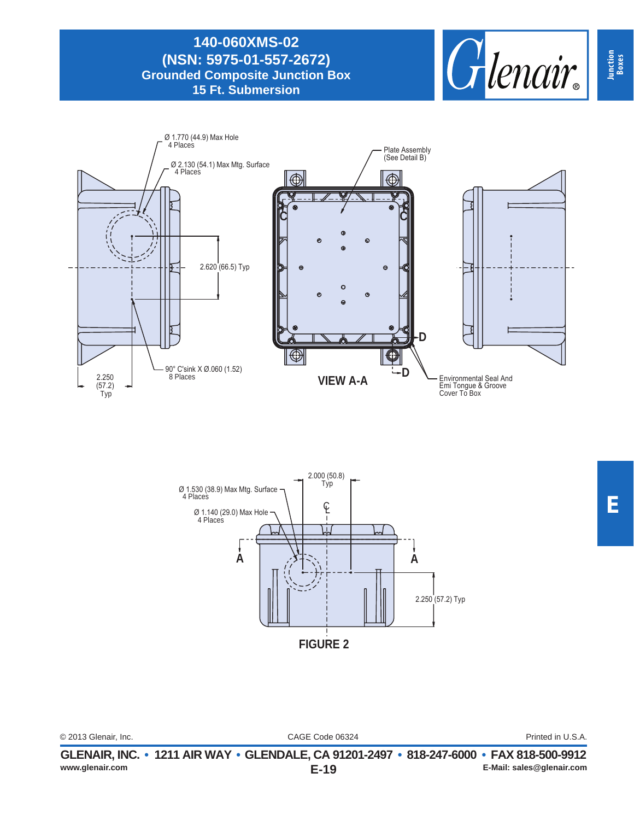





| © 2013 Glenair, Inc. | CAGE Code 06324 | Printed in U.S.A. |
|----------------------|-----------------|-------------------|
|                      |                 |                   |

**Junction Boxes**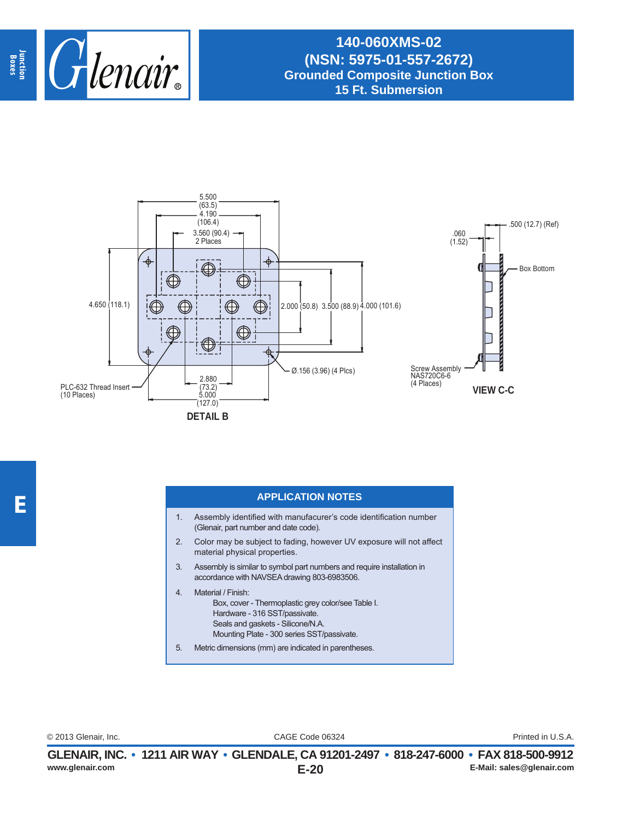



## **APPLICATION NOTES**

- 1. Assembly identified with manufacurer's code identification number (Glenair, part number and date code).
- 2. Color may be subject to fading, however UV exposure will not affect material physical properties.
- 3. Assembly is similar to symbol part numbers and require installation in accordance with NAVSEA drawing 803-6983506.
- 4. Material / Finish: Box, cover - Thermoplastic grey color/see Table I. Hardware - 316 SST/passivate. Seals and gaskets - Silicone/N.A. Mounting Plate - 300 series SST/passivate.
- 5. Metric dimensions (mm) are indicated in parentheses.

CAGE Code 06324 © 2013 Glenair, Inc. Printed in U.S.A.